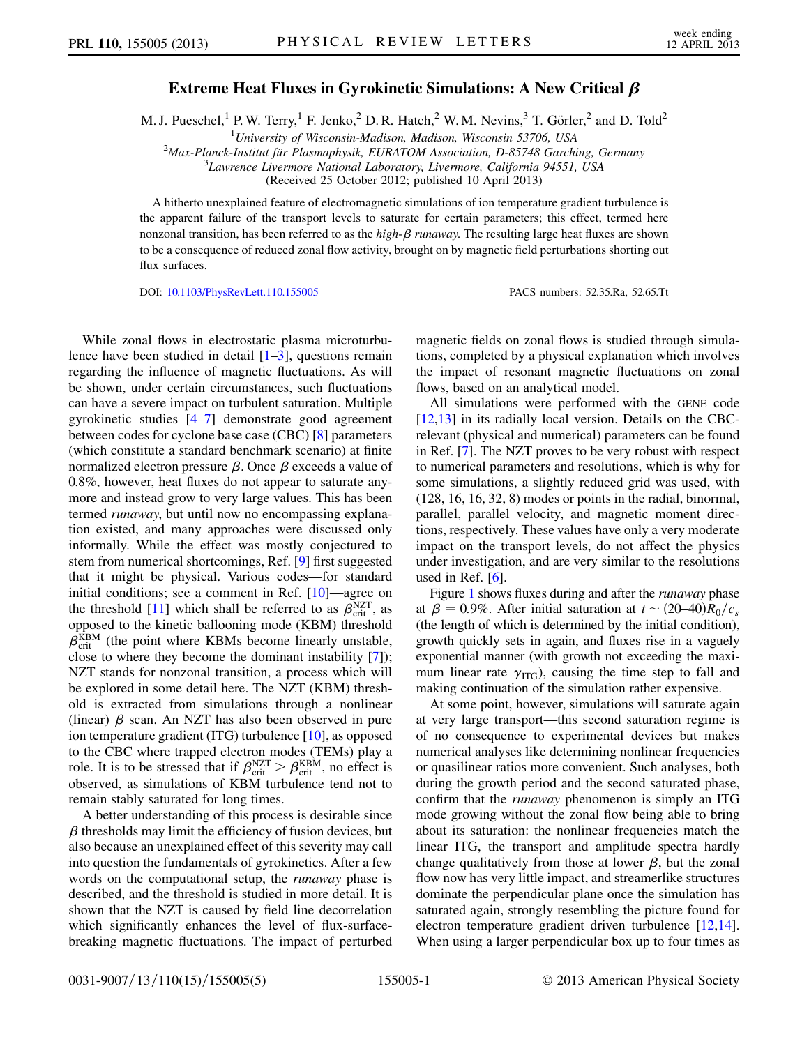## Extreme Heat Fluxes in Gyrokinetic Simulations: A New Critical  $\beta$

M. J. Pueschel,<sup>1</sup> P. W. Terry,<sup>1</sup> F. Jenko,<sup>2</sup> D. R. Hatch,<sup>2</sup> W. M. Nevins,<sup>3</sup> T. Görler,<sup>2</sup> and D. Told<sup>2</sup>

<sup>1</sup>University of Wisconsin-Madison, Madison, Wisconsin 53706, USA <sup>1</sup> University of Wisconsin-Madison, Madison, Wisconsin 53706, USA<br><sup>2</sup>Max Planck Institut für Plasmanbysik, EUPATOM Association, D.85748 Garchi

Max-Planck-Institut für Plasmaphysik, EURATOM Association, D-85748 Garching, Germany<br><sup>3</sup> Jayrence Livermore National Laboratory Livermore, California 94551, USA

 ${}^{3}$ Lawrence Livermore National Laboratory, Livermore, California 94551, USA

(Received 25 October 2012; published 10 April 2013)

A hitherto unexplained feature of electromagnetic simulations of ion temperature gradient turbulence is the apparent failure of the transport levels to saturate for certain parameters; this effect, termed here nonzonal transition, has been referred to as the high- $\beta$  runaway. The resulting large heat fluxes are shown to be a consequence of reduced zonal flow activity, brought on by magnetic field perturbations shorting out flux surfaces.

DOI: [10.1103/PhysRevLett.110.155005](http://dx.doi.org/10.1103/PhysRevLett.110.155005) PACS numbers: 52.35.Ra, 52.65.Tt

While zonal flows in electrostatic plasma microturbulence have been studied in detail  $[1-3]$  $[1-3]$  $[1-3]$ , questions remain regarding the influence of magnetic fluctuations. As will be shown, under certain circumstances, such fluctuations can have a severe impact on turbulent saturation. Multiple gyrokinetic studies [\[4](#page-3-2)–[7\]](#page-4-0) demonstrate good agreement between codes for cyclone base case (CBC) [[8](#page-4-1)] parameters (which constitute a standard benchmark scenario) at finite normalized electron pressure  $\beta$ . Once  $\beta$  exceeds a value of 0.8%, however, heat fluxes do not appear to saturate anymore and instead grow to very large values. This has been termed runaway, but until now no encompassing explanation existed, and many approaches were discussed only informally. While the effect was mostly conjectured to stem from numerical shortcomings, Ref. [\[9](#page-4-2)] first suggested that it might be physical. Various codes—for standard initial conditions; see a comment in Ref. [[10](#page-4-3)]—agree on the threshold [[11](#page-4-4)] which shall be referred to as  $\beta_{\text{crit}}^{NZT}$ , as opposed to the kinetic ballooning mode (KBM) threshold  $\beta_{\text{crit}}^{\text{KBM}}$  (the point where KBMs become linearly unstable, close to where they become the dominant instability [[7](#page-4-0)]); NZT stands for nonzonal transition, a process which will be explored in some detail here. The NZT (KBM) threshold is extracted from simulations through a nonlinear (linear)  $\beta$  scan. An NZT has also been observed in pure ion temperature gradient (ITG) turbulence [[10](#page-4-3)], as opposed to the CBC where trapped electron modes (TEMs) play a role. It is to be stressed that if  $\beta_{\text{crit}}^{\text{NZT}} > \beta_{\text{crit}}^{\text{KBM}}$ , no effect is observed, as simulations of KBM turbulence tend not to remain stably saturated for long times.

A better understanding of this process is desirable since  $\beta$  thresholds may limit the efficiency of fusion devices, but also because an unexplained effect of this severity may call into question the fundamentals of gyrokinetics. After a few words on the computational setup, the runaway phase is described, and the threshold is studied in more detail. It is shown that the NZT is caused by field line decorrelation which significantly enhances the level of flux-surfacebreaking magnetic fluctuations. The impact of perturbed magnetic fields on zonal flows is studied through simulations, completed by a physical explanation which involves the impact of resonant magnetic fluctuations on zonal flows, based on an analytical model.

All simulations were performed with the GENE code [\[12](#page-4-5)[,13\]](#page-4-6) in its radially local version. Details on the CBCrelevant (physical and numerical) parameters can be found in Ref. [[7\]](#page-4-0). The NZT proves to be very robust with respect to numerical parameters and resolutions, which is why for some simulations, a slightly reduced grid was used, with (128, 16, 16, 32, 8) modes or points in the radial, binormal, parallel, parallel velocity, and magnetic moment directions, respectively. These values have only a very moderate impact on the transport levels, do not affect the physics under investigation, and are very similar to the resolutions used in Ref.  $[6]$  $[6]$ .

Figure [1](#page-1-0) shows fluxes during and after the *runaway* phase at  $\beta = 0.9\%$ . After initial saturation at  $t \sim (20-40)R_0/c_s$ (the length of which is determined by the initial condition), growth quickly sets in again, and fluxes rise in a vaguely exponential manner (with growth not exceeding the maximum linear rate  $\gamma_{\text{ITG}}$ ), causing the time step to fall and making continuation of the simulation rather expensive.

At some point, however, simulations will saturate again at very large transport—this second saturation regime is of no consequence to experimental devices but makes numerical analyses like determining nonlinear frequencies or quasilinear ratios more convenient. Such analyses, both during the growth period and the second saturated phase, confirm that the runaway phenomenon is simply an ITG mode growing without the zonal flow being able to bring about its saturation: the nonlinear frequencies match the linear ITG, the transport and amplitude spectra hardly change qualitatively from those at lower  $\beta$ , but the zonal flow now has very little impact, and streamerlike structures dominate the perpendicular plane once the simulation has saturated again, strongly resembling the picture found for electron temperature gradient driven turbulence [\[12,](#page-4-5)[14\]](#page-4-8). When using a larger perpendicular box up to four times as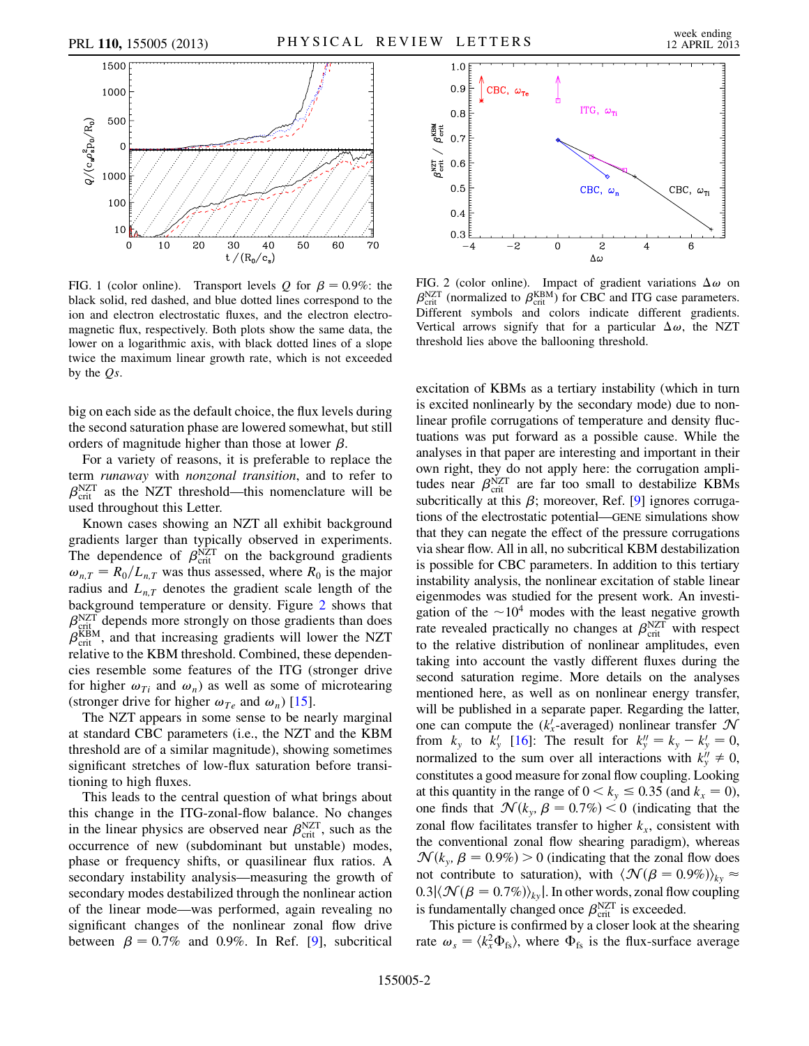<span id="page-1-0"></span>

FIG. 1 (color online). Transport levels Q for  $\beta = 0.9\%$ : the black solid, red dashed, and blue dotted lines correspond to the ion and electron electrostatic fluxes, and the electron electromagnetic flux, respectively. Both plots show the same data, the lower on a logarithmic axis, with black dotted lines of a slope twice the maximum linear growth rate, which is not exceeded by the  $Os$ .

big on each side as the default choice, the flux levels during the second saturation phase are lowered somewhat, but still orders of magnitude higher than those at lower  $\beta$ .

For a variety of reasons, it is preferable to replace the term runaway with nonzonal transition, and to refer to  $\beta_{\text{crit}}^{\text{NZT}}$  as the NZT threshold—this nomenclature will be used throughout this Letter.

Known cases showing an NZT all exhibit background gradients larger than typically observed in experiments. The dependence of  $\beta_{\text{crit}}^{\text{NZT}}$  on the background gradients  $\omega_{n,T} = R_0/L_{n,T}$  was thus assessed, where  $R_0$  is the major radius and  $L_{n,T}$  denotes the gradient scale length of the background temperature or density. Figure [2](#page-1-1) shows that  $\beta_{\text{crit}}^{\text{NZT}}$  depends more strongly on those gradients than does  $\beta_{\text{crit}}^{\text{KBM}}$ , and that increasing gradients will lower the NZT relative to the KBM threshold. Combined, these dependencies resemble some features of the ITG (stronger drive for higher  $\omega_{Ti}$  and  $\omega_n$ ) as well as some of microtearing (stronger drive for higher  $\omega_{Te}$  and  $\omega_n$ ) [[15](#page-4-9)].

The NZT appears in some sense to be nearly marginal at standard CBC parameters (i.e., the NZT and the KBM threshold are of a similar magnitude), showing sometimes significant stretches of low-flux saturation before transitioning to high fluxes.

This leads to the central question of what brings about this change in the ITG-zonal-flow balance. No changes in the linear physics are observed near  $\beta_{\text{crit}}^{\text{NZT}}$ , such as the occurrence of new (subdominant but unstable) modes, phase or frequency shifts, or quasilinear flux ratios. A secondary instability analysis—measuring the growth of secondary modes destabilized through the nonlinear action of the linear mode—was performed, again revealing no significant changes of the nonlinear zonal flow drive between  $\beta = 0.7\%$  and 0.[9](#page-4-2)%. In Ref. [9], subcritical

<span id="page-1-1"></span>

FIG. 2 (color online). Impact of gradient variations  $\Delta \omega$  on  $\beta_{\text{crit}}^{\text{NZT}}$  (normalized to  $\beta_{\text{crit}}^{\text{KBM}}$ ) for CBC and ITG case parameters. Different symbols and colors indicate different gradients. Vertical arrows signify that for a particular  $\Delta \omega$ , the NZT threshold lies above the ballooning threshold.

excitation of KBMs as a tertiary instability (which in turn is excited nonlinearly by the secondary mode) due to nonlinear profile corrugations of temperature and density fluctuations was put forward as a possible cause. While the analyses in that paper are interesting and important in their own right, they do not apply here: the corrugation amplitudes near  $\beta_{\text{crit}}^{NZT}$  are far too small to destabilize KBMs subcritically at this  $\beta$ ; moreover, Ref. [\[9](#page-4-2)] ignores corrugations of the electrostatic potential—GENE simulations show that they can negate the effect of the pressure corrugations via shear flow. All in all, no subcritical KBM destabilization is possible for CBC parameters. In addition to this tertiary instability analysis, the nonlinear excitation of stable linear eigenmodes was studied for the present work. An investigation of the  $\sim 10^4$  modes with the least negative growth rate revealed practically no changes at  $\beta_{\text{crit}}^{\text{NZT}}$  with respect to the relative distribution of nonlinear amplitudes, even taking into account the vastly different fluxes during the second saturation regime. More details on the analyses mentioned here, as well as on nonlinear energy transfer, will be published in a separate paper. Regarding the latter, one can compute the  $(k'_x$ -averaged) nonlinear transfer  $\mathcal N$ from  $k_y$  to  $k'_y$  [[16\]](#page-4-10): The result for  $k''_y = k_y - k'_y = 0$ , normalized to the sum over all interactions with  $k_v'' \neq 0$ , constitutes a good measure for zonal flow coupling. Looking at this quantity in the range of  $0 < k_y \le 0.35$  (and  $k_x = 0$ ), one finds that  $\mathcal{N}(k_y, \beta = 0.7\%) < 0$  (indicating that the zonal flow facilitates transfer to higher  $k_x$ , consistent with the conventional zonal flow shearing paradigm), whereas  $\mathcal{N}(k_{v}, \beta = 0.9\%) > 0$  (indicating that the zonal flow does not contribute to saturation), with  $\langle \mathcal{N}(\beta = 0.9\%) \rangle_{kv} \approx$  $0.3|\langle \mathcal{N}(\beta=0.7\%) \rangle_{ky}|$ . In other words, zonal flow coupling is fundamentally changed once  $\beta_{\text{crit}}^{\text{NZT}}$  is exceeded.

This picture is confirmed by a closer look at the shearing rate  $\omega_s = \langle k_x^2 \Phi_{fs} \rangle$ , where  $\Phi_{fs}$  is the flux-surface average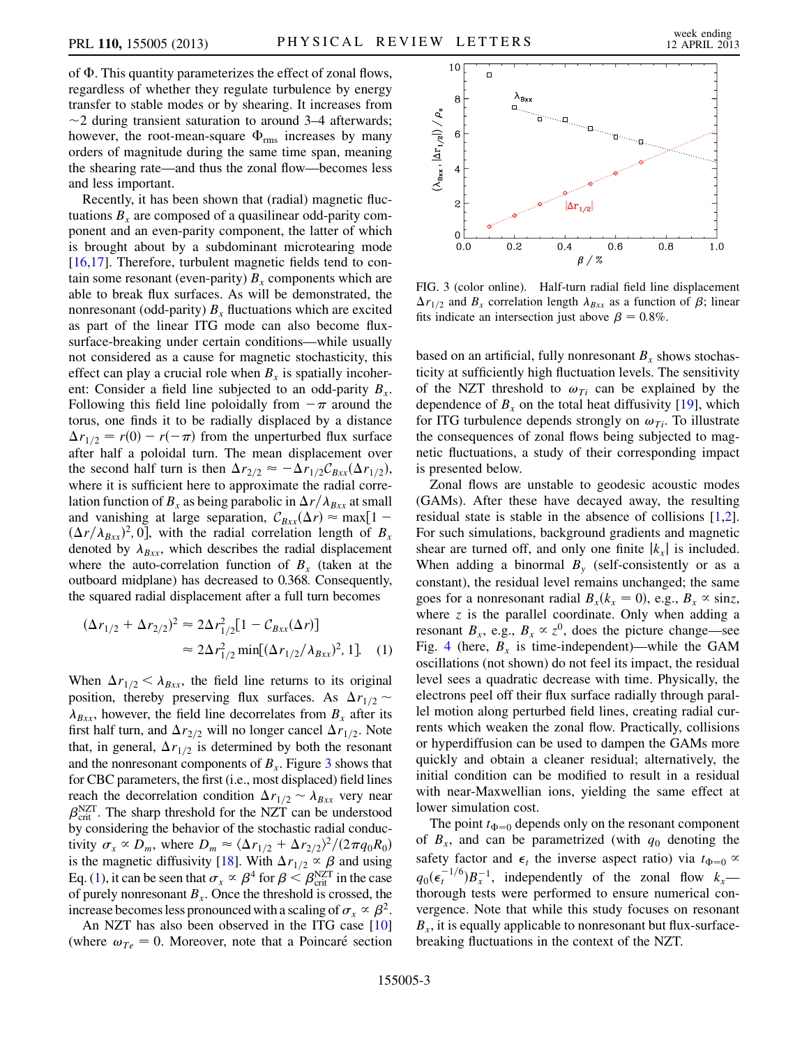of  $\Phi$ . This quantity parameterizes the effect of zonal flows, regardless of whether they regulate turbulence by energy transfer to stable modes or by shearing. It increases from  $\sim$ 2 during transient saturation to around 3–4 afterwards; however, the root-mean-square  $\Phi_{\rm rms}$  increases by many orders of magnitude during the same time span, meaning the shearing rate—and thus the zonal flow—becomes less and less important.

Recently, it has been shown that (radial) magnetic fluctuations  $B<sub>x</sub>$  are composed of a quasilinear odd-parity component and an even-parity component, the latter of which is brought about by a subdominant microtearing mode [\[16](#page-4-10)[,17\]](#page-4-11). Therefore, turbulent magnetic fields tend to contain some resonant (even-parity)  $B<sub>x</sub>$  components which are able to break flux surfaces. As will be demonstrated, the nonresonant (odd-parity)  $B_x$  fluctuations which are excited as part of the linear ITG mode can also become fluxsurface-breaking under certain conditions—while usually not considered as a cause for magnetic stochasticity, this effect can play a crucial role when  $B_x$  is spatially incoherent: Consider a field line subjected to an odd-parity  $B_x$ . Following this field line poloidally from  $-\pi$  around the torus, one finds it to be radially displaced by a distance  $\Delta r_{1/2} = r(0) - r(-\pi)$  from the unperturbed flux surface after half a poloidal turn. The mean displacement over the second half turn is then  $\Delta r_{2/2} \approx -\Delta r_{1/2}C_{Bxx}(\Delta r_{1/2}),$ where it is sufficient here to approximate the radial correlation function of  $B_x$  as being parabolic in  $\Delta r/\lambda_{Bxx}$  at small and vanishing at large separation,  $C_{Bxx}(\Delta r) \approx \max[1 (\Delta r/\lambda_{Bxx})^2$ , 0], with the radial correlation length of  $B_x$ denoted by  $\lambda_{Bxx}$ , which describes the radial displacement where the auto-correlation function of  $B<sub>x</sub>$  (taken at the outboard midplane) has decreased to 0.368. Consequently, the squared radial displacement after a full turn becomes

<span id="page-2-1"></span>
$$
(\Delta r_{1/2} + \Delta r_{2/2})^2 \approx 2\Delta r_{1/2}^2 [1 - C_{Bxx}(\Delta r)]
$$
  

$$
\approx 2\Delta r_{1/2}^2 \min[(\Delta r_{1/2}/\lambda_{Bxx})^2, 1].
$$
 (1)

When  $\Delta r_{1/2} < \lambda_{Bxx}$ , the field line returns to its original position, thereby preserving flux surfaces. As  $\Delta r_{1/2} \sim$  $\lambda_{Bxx}$ , however, the field line decorrelates from  $B_x$  after its first half turn, and  $\Delta r_{2/2}$  will no longer cancel  $\Delta r_{1/2}$ . Note that, in general,  $\Delta r_{1/2}$  is determined by both the resonant and the nonresonant components of  $B<sub>x</sub>$ . Figure [3](#page-2-0) shows that for CBC parameters, the first (i.e., most displaced) field lines reach the decorrelation condition  $\Delta r_{1/2} \sim \lambda_{Bxx}$  very near  $\beta_{\text{crit}}^{\text{NZT}}$ . The sharp threshold for the NZT can be understood by considering the behavior of the stochastic radial conductivity  $\sigma_x \propto D_m$ , where  $D_m \approx \langle \Delta r_{1/2} + \Delta r_{2/2} \rangle^2 / (2 \pi q_0 R_0)$ is the magnetic diffusivity [\[18](#page-4-12)]. With  $\Delta r_{1/2} \propto \beta$  and using Eq. [\(1](#page-2-1)), it can be seen that  $\sigma_x \propto \beta^4$  for  $\beta \leq \beta_{\text{crit}}^{\text{NZT}}$  in the case of purely nonresonant  $B<sub>x</sub>$ . Once the threshold is crossed, the increase becomes less pronounced with a scaling of  $\sigma_r \propto \beta^2$ .

An NZT has also been observed in the ITG case [\[10\]](#page-4-3) (where  $\omega_{Te} = 0$ . Moreover, note that a Poincaré section

<span id="page-2-0"></span>

FIG. 3 (color online). Half-turn radial field line displacement  $\Delta r_{1/2}$  and  $B_x$  correlation length  $\lambda_{Bxx}$  as a function of  $\beta$ ; linear fits indicate an intersection just above  $\beta = 0.8\%$ .

based on an artificial, fully nonresonant  $B<sub>x</sub>$  shows stochasticity at sufficiently high fluctuation levels. The sensitivity of the NZT threshold to  $\omega_{Ti}$  can be explained by the dependence of  $B_x$  on the total heat diffusivity [[19](#page-4-13)], which for ITG turbulence depends strongly on  $\omega_{Ti}$ . To illustrate the consequences of zonal flows being subjected to magnetic fluctuations, a study of their corresponding impact is presented below.

Zonal flows are unstable to geodesic acoustic modes (GAMs). After these have decayed away, the resulting residual state is stable in the absence of collisions [[1](#page-3-0),[2\]](#page-3-3). For such simulations, background gradients and magnetic shear are turned off, and only one finite  $|k<sub>x</sub>|$  is included. When adding a binormal  $B_y$  (self-consistently or as a constant), the residual level remains unchanged; the same goes for a nonresonant radial  $B_x(k_x = 0)$ , e.g.,  $B_x \propto \sin z$ , where  $z$  is the parallel coordinate. Only when adding a resonant  $B_x$ , e.g.,  $B_x \propto z^0$ , does the picture change—see Fig. [4](#page-3-4) (here,  $B<sub>x</sub>$  is time-independent)—while the GAM oscillations (not shown) do not feel its impact, the residual level sees a quadratic decrease with time. Physically, the electrons peel off their flux surface radially through parallel motion along perturbed field lines, creating radial currents which weaken the zonal flow. Practically, collisions or hyperdiffusion can be used to dampen the GAMs more quickly and obtain a cleaner residual; alternatively, the initial condition can be modified to result in a residual with near-Maxwellian ions, yielding the same effect at lower simulation cost.

The point  $t_{\Phi=0}$  depends only on the resonant component of  $B_x$ , and can be parametrized (with  $q_0$  denoting the safety factor and  $\epsilon_t$  the inverse aspect ratio) via  $t_{\Phi=0} \propto$  $q_0(\epsilon_t^{-1/6})B_x^{-1}$ , independently of the zonal flow  $k_x$  thorough tests were performed to ensure numerical convergence. Note that while this study focuses on resonant  $B<sub>x</sub>$ , it is equally applicable to nonresonant but flux-surfacebreaking fluctuations in the context of the NZT.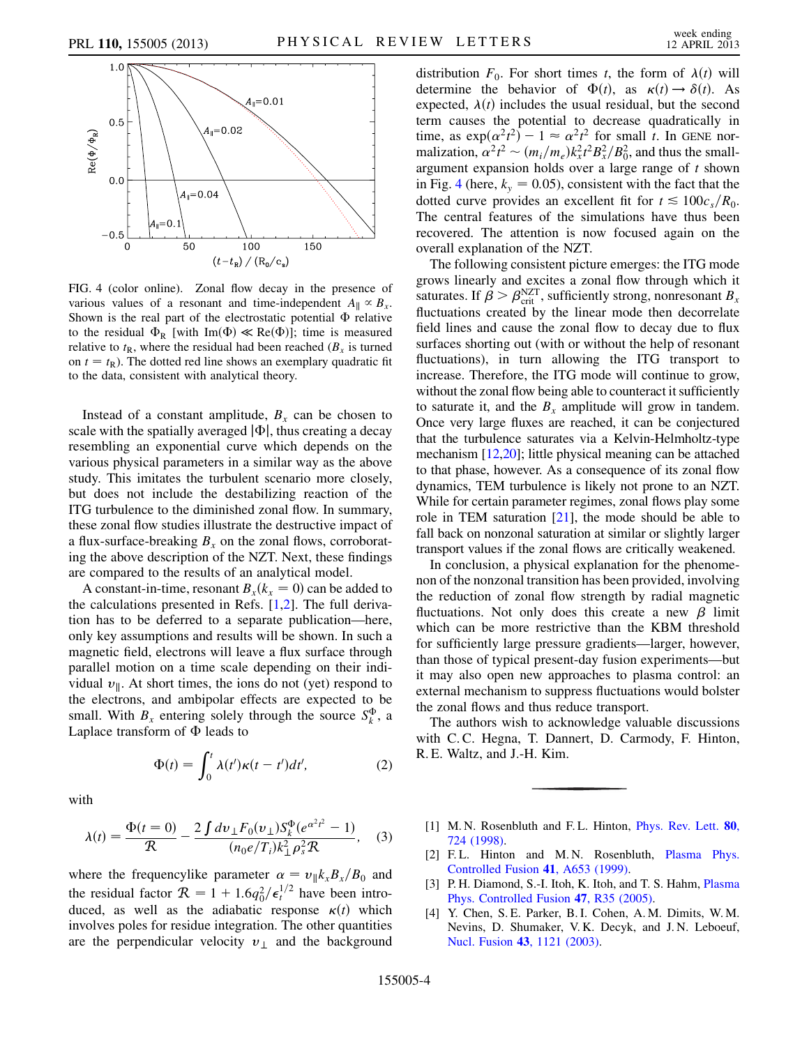<span id="page-3-4"></span>

FIG. 4 (color online). Zonal flow decay in the presence of various values of a resonant and time-independent  $A_{\parallel} \propto B_{\rm r}$ . Shown is the real part of the electrostatic potential  $\Phi$  relative to the residual  $\Phi_R$  [with Im( $\Phi$ )  $\ll$  Re( $\Phi$ )]; time is measured relative to  $t<sub>R</sub>$ , where the residual had been reached ( $B<sub>x</sub>$  is turned on  $t = t<sub>R</sub>$ ). The dotted red line shows an exemplary quadratic fit to the data, consistent with analytical theory.

Instead of a constant amplitude,  $B<sub>x</sub>$  can be chosen to scale with the spatially averaged  $|\Phi|$ , thus creating a decay resembling an exponential curve which depends on the various physical parameters in a similar way as the above study. This imitates the turbulent scenario more closely, but does not include the destabilizing reaction of the ITG turbulence to the diminished zonal flow. In summary, these zonal flow studies illustrate the destructive impact of a flux-surface-breaking  $B_x$  on the zonal flows, corroborating the above description of the NZT. Next, these findings are compared to the results of an analytical model.

A constant-in-time, resonant  $B_x(k_x = 0)$  can be added to the calculations presented in Refs.  $[1,2]$  $[1,2]$  $[1,2]$ . The full derivation has to be deferred to a separate publication—here, only key assumptions and results will be shown. In such a magnetic field, electrons will leave a flux surface through parallel motion on a time scale depending on their individual  $v_{\parallel}$ . At short times, the ions do not (yet) respond to the electrons, and ambipolar effects are expected to be small. With  $B_x$  entering solely through the source  $S_k^{\Phi}$ , a Laplace transform of  $\Phi$  leads to

$$
\Phi(t) = \int_0^t \lambda(t')\kappa(t-t')dt',\tag{2}
$$

with

$$
\lambda(t) = \frac{\Phi(t=0)}{\mathcal{R}} - \frac{2 \int dv_{\perp} F_0(v_{\perp}) S_k^{\Phi}(e^{\alpha^2 t^2} - 1)}{(n_0 e/T_i) k_{\perp}^2 \rho_s^2 \mathcal{R}}, \quad (3)
$$

where the frequencylike parameter  $\alpha = v_{\parallel}k_xB_x/B_0$  and the residual factor  $\mathcal{R} = 1 + 1.6q_0^2/\epsilon_t^{1/2}$  have been introduced, as well as the adiabatic response  $\kappa(t)$  which involves poles for residue integration. The other quantities are the perpendicular velocity  $v_{\perp}$  and the background distribution  $F_0$ . For short times t, the form of  $\lambda(t)$  will determine the behavior of  $\Phi(t)$ , as  $\kappa(t) \to \delta(t)$ . As expected,  $\lambda(t)$  includes the usual residual, but the second term causes the potential to decrease quadratically in time, as  $\exp(\alpha^2 t^2) - 1 \approx \alpha^2 t^2$  for small t. In GENE normalization,  $\alpha^2 t^2 \sim (m_i/m_e) k_x^2 t^2 B_x^2 / B_0^2$ , and thus the smallargument expansion holds over a large range of  $t$  shown in Fig. [4](#page-3-4) (here,  $k_y = 0.05$ ), consistent with the fact that the dotted curve provides an excellent fit for  $t \leq 100c_s/R_0$ . The central features of the simulations have thus been recovered. The attention is now focused again on the overall explanation of the NZT.

The following consistent picture emerges: the ITG mode grows linearly and excites a zonal flow through which it saturates. If  $\beta > \beta_{\text{crit}}^{\text{NZT}}$ , sufficiently strong, nonresonant  $B_x$ fluctuations created by the linear mode then decorrelate field lines and cause the zonal flow to decay due to flux surfaces shorting out (with or without the help of resonant fluctuations), in turn allowing the ITG transport to increase. Therefore, the ITG mode will continue to grow, without the zonal flow being able to counteract it sufficiently to saturate it, and the  $B_x$  amplitude will grow in tandem. Once very large fluxes are reached, it can be conjectured that the turbulence saturates via a Kelvin-Helmholtz-type mechanism [\[12](#page-4-5),[20\]](#page-4-14); little physical meaning can be attached to that phase, however. As a consequence of its zonal flow dynamics, TEM turbulence is likely not prone to an NZT. While for certain parameter regimes, zonal flows play some role in TEM saturation  $[21]$  $[21]$ , the mode should be able to fall back on nonzonal saturation at similar or slightly larger transport values if the zonal flows are critically weakened.

In conclusion, a physical explanation for the phenomenon of the nonzonal transition has been provided, involving the reduction of zonal flow strength by radial magnetic fluctuations. Not only does this create a new  $\beta$  limit which can be more restrictive than the KBM threshold for sufficiently large pressure gradients—larger, however, than those of typical present-day fusion experiments—but it may also open new approaches to plasma control: an external mechanism to suppress fluctuations would bolster the zonal flows and thus reduce transport.

The authors wish to acknowledge valuable discussions with C. C. Hegna, T. Dannert, D. Carmody, F. Hinton, R. E. Waltz, and J.-H. Kim.

- <span id="page-3-3"></span><span id="page-3-0"></span>[1] M. N. Rosenbluth and F. L. Hinton, *[Phys. Rev. Lett.](http://dx.doi.org/10.1103/PhysRevLett.80.724)* **80**, [724 \(1998\)](http://dx.doi.org/10.1103/PhysRevLett.80.724).
- <span id="page-3-1"></span>[2] F.L. Hinton and M.N. Rosenbluth, [Plasma Phys.](http://dx.doi.org/10.1088/0741-3335/41/3A/059) [Controlled Fusion](http://dx.doi.org/10.1088/0741-3335/41/3A/059) 41, A653 (1999).
- <span id="page-3-2"></span>[3] P. H. Diamond, S.-I. Itoh, K. Itoh, and T. S. Hahm, [Plasma](http://dx.doi.org/10.1088/0741-3335/47/5/R01) [Phys. Controlled Fusion](http://dx.doi.org/10.1088/0741-3335/47/5/R01) 47, R35 (2005).
- [4] Y. Chen, S. E. Parker, B. I. Cohen, A. M. Dimits, W. M. Nevins, D. Shumaker, V. K. Decyk, and J. N. Leboeuf, Nucl. Fusion 43[, 1121 \(2003\)](http://dx.doi.org/10.1088/0029-5515/43/10/013).